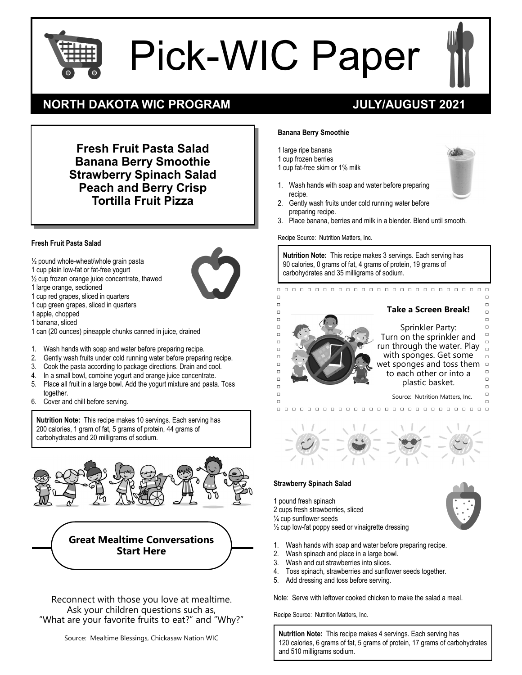# Pick-WIC Paper

 $\Box$  $\Box$  $\overline{a}$ 

 $\Box$ 

 $\Box$  $\Box$  $\Box$  $\overline{C}$ 

 $\Box$  $\Box$ 

 $\Box$ 

 $\Box$  $\Box$ 

 $\Box$ 



## **NORTH DAKOTA WIC PROGRAM JULY/AUGUST 2021**

**Fresh Fruit Pasta Salad Banana Berry Smoothie Strawberry Spinach Salad Peach and Berry Crisp Tortilla Fruit Pizza**

#### **Fresh Fruit Pasta Salad**

- ½ pound whole-wheat/whole grain pasta
- 1 cup plain low-fat or fat-free yogurt
- ½ cup frozen orange juice concentrate, thawed
- 1 large orange, sectioned
- 1 cup red grapes, sliced in quarters
- 1 cup green grapes, sliced in quarters
- 1 apple, chopped
- 1 banana, sliced
- 1 can (20 ounces) pineapple chunks canned in juice, drained
- 1. Wash hands with soap and water before preparing recipe.
- 2. Gently wash fruits under cold running water before preparing recipe.
- 3. Cook the pasta according to package directions. Drain and cool.
- 4. In a small bowl, combine yogurt and orange juice concentrate.
- 5. Place all fruit in a large bowl. Add the yogurt mixture and pasta. Toss together.
- 6. Cover and chill before serving.

**Nutrition Note:** This recipe makes 10 servings. Each serving has 200 calories, 1 gram of fat, 5 grams of protein, 44 grams of carbohydrates and 20 milligrams of sodium.





Reconnect with those you love at mealtime. Ask your children questions such as, "What are your favorite fruits to eat?" and "Why?"

#### **Banana Berry Smoothie**

1 large ripe banana

- 1 cup frozen berries
- 1 cup fat-free skim or 1% milk
- 1. Wash hands with soap and water before preparing recipe.
- 2. Gently wash fruits under cold running water before preparing recipe.
- 3. Place banana, berries and milk in a blender. Blend until smooth.

Recipe Source: Nutrition Matters, Inc.

**Nutrition Note:** This recipe makes 3 servings. Each serving has 90 calories, 0 grams of fat, 4 grams of protein, 19 grams of carbohydrates and 35 milligrams of sodium.

### **Take a Screen Break!**

 $\Box$ 

 $\Box$ 





#### **Strawberry Spinach Salad**

1 pound fresh spinach 2 cups fresh strawberries, sliced ¼ cup sunflower seeds

½ cup low-fat poppy seed or vinaigrette dressing

- 1. Wash hands with soap and water before preparing recipe.
- 2. Wash spinach and place in a large bowl.
- 3. Wash and cut strawberries into slices.
- 4. Toss spinach, strawberries and sunflower seeds together.
- 5. Add dressing and toss before serving.

Note: Serve with leftover cooked chicken to make the salad a meal.

Recipe Source: Nutrition Matters, Inc.

**Nutrition Note:** This recipe makes 4 servings. Each serving has 120 calories, 6 grams of fat, 5 grams of protein, 17 grams of carbohydrates and 510 milligrams sodium.